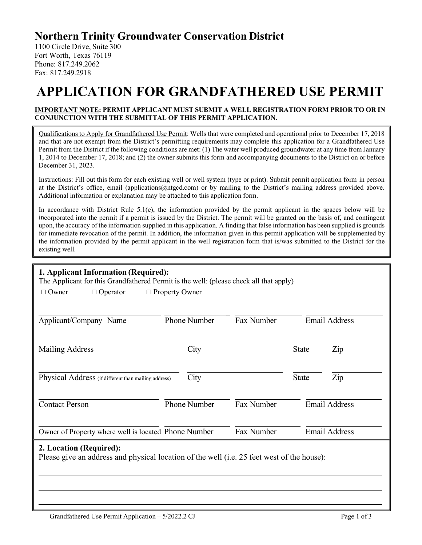# **Northern Trinity Groundwater Conservation District**

1100 Circle Drive, Suite 300 Fort Worth, Texas 76119 Phone: 817.249.2062 Fax: 817.249.2918

# **APPLICATION FOR GRANDFATHERED USE PERMIT**

#### **IMPORTANT NOTE: PERMIT APPLICANT MUST SUBMIT A WELL REGISTRATION FORM PRIOR TO OR IN CONJUNCTION WITH THE SUBMITTAL OF THIS PERMIT APPLICATION.**

Qualifications to Apply for Grandfathered Use Permit: Wells that were completed and operational prior to December 17, 2018 and that are not exempt from the District's permitting requirements may complete this application for a Grandfathered Use Permit from the District if the following conditions are met: (1) The water well produced groundwater at any time from January 1, 2014 to December 17, 2018; and (2) the owner submits this form and accompanying documents to the District on or before December 31, 2023.

Instructions: Fill out this form for each existing well or well system (type or print). Submit permit application form in person at the District's office, email (applications@ntgcd.com) or by mailing to the District's mailing address provided above. Additional information or explanation may be attached to this application form.

In accordance with District Rule  $5.1(e)$ , the information provided by the permit applicant in the spaces below will be incorporated into the permit if a permit is issued by the District. The permit will be granted on the basis of, and contingent upon, the accuracy of the information supplied in this application. A finding that false information has been supplied is grounds for immediate revocation of the permit. In addition, the information given in this permit application will be supplemented by the information provided by the permit applicant in the well registration form that is/was submitted to the District for the existing well.

## **1. Applicant Information (Required):**

The Applicant for this Grandfathered Permit is the well: (please check all that apply)

| $\Box$ Owner | $\Box$ Operator | $\Box$ Property Owner |
|--------------|-----------------|-----------------------|
|              |                 |                       |

| Applicant/Company Name                                                                                                | <b>Phone Number</b> | Fax Number |              | <b>Email Address</b> |
|-----------------------------------------------------------------------------------------------------------------------|---------------------|------------|--------------|----------------------|
| Mailing Address                                                                                                       | City                |            | <b>State</b> | Zip                  |
| Physical Address (if different than mailing address)                                                                  | City                |            | <b>State</b> | Zip                  |
| <b>Contact Person</b>                                                                                                 | <b>Phone Number</b> | Fax Number |              | <b>Email Address</b> |
| Owner of Property where well is located Phone Number                                                                  |                     | Fax Number |              | <b>Email Address</b> |
| 2. Location (Required):<br>Please give an address and physical location of the well (i.e. 25 feet west of the house): |                     |            |              |                      |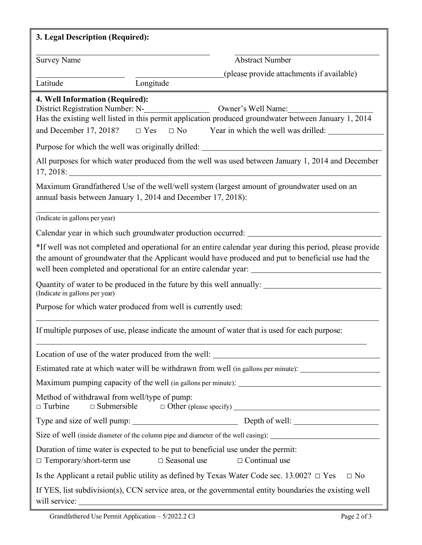| 3. Legal Description (Required):                               |                                                                                                                                                                                                                                                                                                                         |  |  |
|----------------------------------------------------------------|-------------------------------------------------------------------------------------------------------------------------------------------------------------------------------------------------------------------------------------------------------------------------------------------------------------------------|--|--|
| <b>Survey Name</b>                                             | <b>Abstract Number</b>                                                                                                                                                                                                                                                                                                  |  |  |
|                                                                | (please provide attachments if available)                                                                                                                                                                                                                                                                               |  |  |
| Latitude                                                       | Longitude                                                                                                                                                                                                                                                                                                               |  |  |
| 4. Well Information (Required):                                | District Registration Number: N-<br>Owner's Well Name:<br>Has the existing well listed in this permit application produced groundwater between January 1, 2014                                                                                                                                                          |  |  |
|                                                                | and December 17, 2018? $\square$ Yes $\square$ No Year in which the well was drilled:                                                                                                                                                                                                                                   |  |  |
|                                                                | Purpose for which the well was originally drilled: ______________________________                                                                                                                                                                                                                                       |  |  |
|                                                                | All purposes for which water produced from the well was used between January 1, 2014 and December                                                                                                                                                                                                                       |  |  |
|                                                                | Maximum Grandfathered Use of the well/well system (largest amount of groundwater used on an<br>annual basis between January 1, 2014 and December 17, 2018):                                                                                                                                                             |  |  |
| (Indicate in gallons per year)                                 |                                                                                                                                                                                                                                                                                                                         |  |  |
|                                                                | Calendar year in which such groundwater production occurred: ____________________                                                                                                                                                                                                                                       |  |  |
|                                                                | *If well was not completed and operational for an entire calendar year during this period, please provide<br>the amount of groundwater that the Applicant would have produced and put to beneficial use had the<br>well been completed and operational for an entire calendar year: ___________________________________ |  |  |
| (Indicate in gallons per year)                                 | Quantity of water to be produced in the future by this well annually: _____________________________                                                                                                                                                                                                                     |  |  |
|                                                                | Purpose for which water produced from well is currently used:                                                                                                                                                                                                                                                           |  |  |
|                                                                | If multiple purposes of use, please indicate the amount of water that is used for each purpose:                                                                                                                                                                                                                         |  |  |
|                                                                |                                                                                                                                                                                                                                                                                                                         |  |  |
|                                                                | Estimated rate at which water will be withdrawn from well (in gallons per minute): _________________                                                                                                                                                                                                                    |  |  |
|                                                                |                                                                                                                                                                                                                                                                                                                         |  |  |
| Method of withdrawal from well/type of pump:<br>$\Box$ Turbine |                                                                                                                                                                                                                                                                                                                         |  |  |
|                                                                |                                                                                                                                                                                                                                                                                                                         |  |  |
|                                                                | Size of well (inside diameter of the column pipe and diameter of the well casing): ___________________________                                                                                                                                                                                                          |  |  |
| $\Box$ Temporary/short-term use                                | Duration of time water is expected to be put to beneficial use under the permit:<br>$\Box$ Seasonal use<br>$\Box$ Continual use                                                                                                                                                                                         |  |  |
|                                                                | Is the Applicant a retail public utility as defined by Texas Water Code sec. 13.002? $\Box$ Yes<br>$\Box$ No                                                                                                                                                                                                            |  |  |
|                                                                | If YES, list subdivision(s), CCN service area, or the governmental entity boundaries the existing well                                                                                                                                                                                                                  |  |  |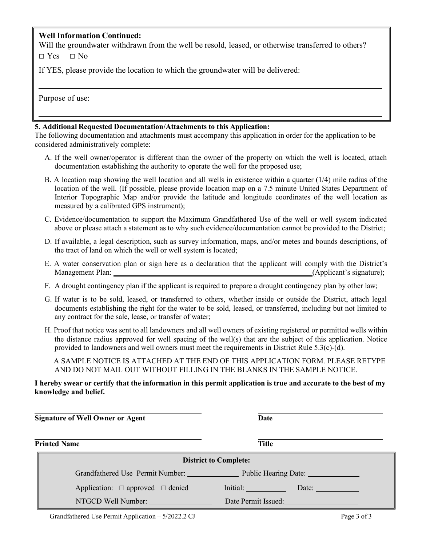### **Well Information Continued:**

Will the groundwater withdrawn from the well be resold, leased, or otherwise transferred to others?

 $\Box$  Yes  $\Box$  No

If YES, please provide the location to which the groundwater will be delivered:

Purpose of use:

#### **5. Additional Requested Documentation/Attachments to this Application:**

The following documentation and attachments must accompany this application in order for the application to be considered administratively complete:

- A. If the well owner/operator is different than the owner of the property on which the well is located, attach documentation establishing the authority to operate the well for the proposed use;
- B. A location map showing the well location and all wells in existence within a quarter (1/4) mile radius of the location of the well. (If possible, please provide location map on a 7.5 minute United States Department of Interior Topographic Map and/or provide the latitude and longitude coordinates of the well location as measured by a calibrated GPS instrument);
- C. Evidence/documentation to support the Maximum Grandfathered Use of the well or well system indicated above or please attach a statement as to why such evidence/documentation cannot be provided to the District;
- D. If available, a legal description, such as survey information, maps, and/or metes and bounds descriptions, of the tract of land on which the well or well system is located;
- E. A water conservation plan or sign here as a declaration that the applicant will comply with the District's Management Plan: (Applicant's signature);
- F. A drought contingency plan if the applicant is required to prepare a drought contingency plan by other law;
- G. If water is to be sold, leased, or transferred to others, whether inside or outside the District, attach legal documents establishing the right for the water to be sold, leased, or transferred, including but not limited to any contract for the sale, lease, or transfer of water;
- H. Proof that notice was sent to all landowners and all well owners of existing registered or permitted wells within the distance radius approved for well spacing of the well(s) that are the subject of this application. Notice provided to landowners and well owners must meet the requirements in District Rule 5.3(c)-(d).

A SAMPLE NOTICE IS ATTACHED AT THE END OF THIS APPLICATION FORM. PLEASE RETYPE AND DO NOT MAIL OUT WITHOUT FILLING IN THE BLANKS IN THE SAMPLE NOTICE.

**I hereby swear or certify that the information in this permit application is true and accurate to the best of my knowledge and belief.**

| <b>Signature of Well Owner or Agent</b>    | Date                                                  |
|--------------------------------------------|-------------------------------------------------------|
| <b>Printed Name</b>                        | <b>Title</b>                                          |
|                                            | <b>District to Complete:</b>                          |
|                                            | Grandfathered Use Permit Number: Public Hearing Date: |
| Application: $\Box$ approved $\Box$ denied | Initial:<br>Date:                                     |
| NTGCD Well Number:                         | Date Permit Issued:                                   |